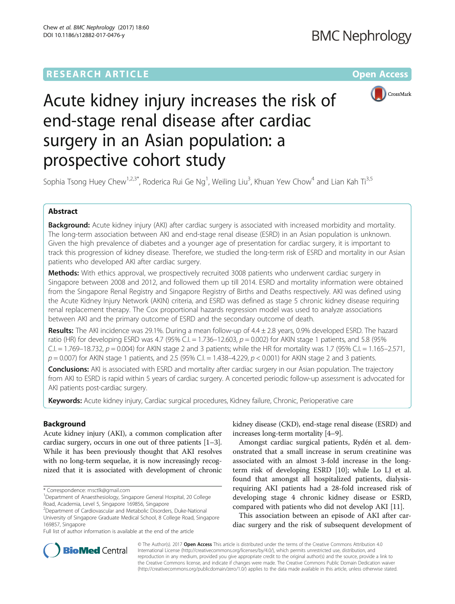# **RESEARCH ARTICLE Example 2014 12:30 The Contract of Contract ACCESS**



# Acute kidney injury increases the risk of end-stage renal disease after cardiac surgery in an Asian population: a prospective cohort study

Sophia Tsong Huey Chew<sup>1,2,3\*</sup>, Roderica Rui Ge Ng<sup>1</sup>, Weiling Liu<sup>3</sup>, Khuan Yew Chow<sup>4</sup> and Lian Kah Ti<sup>3,5</sup>

# Abstract

Background: Acute kidney injury (AKI) after cardiac surgery is associated with increased morbidity and mortality. The long-term association between AKI and end-stage renal disease (ESRD) in an Asian population is unknown. Given the high prevalence of diabetes and a younger age of presentation for cardiac surgery, it is important to track this progression of kidney disease. Therefore, we studied the long-term risk of ESRD and mortality in our Asian patients who developed AKI after cardiac surgery.

**Methods:** With ethics approval, we prospectively recruited 3008 patients who underwent cardiac surgery in Singapore between 2008 and 2012, and followed them up till 2014. ESRD and mortality information were obtained from the Singapore Renal Registry and Singapore Registry of Births and Deaths respectively. AKI was defined using the Acute Kidney Injury Network (AKIN) criteria, and ESRD was defined as stage 5 chronic kidney disease requiring renal replacement therapy. The Cox proportional hazards regression model was used to analyze associations between AKI and the primary outcome of ESRD and the secondary outcome of death.

Results: The AKI incidence was 29.1%. During a mean follow-up of 4.4 ± 2.8 years, 0.9% developed ESRD. The hazard ratio (HR) for developing ESRD was 4.7 (95% C.I.  $= 1.736-12.603$ ,  $p = 0.002$ ) for AKIN stage 1 patients, and 5.8 (95% C.I.  $= 1.769 - 18.732$ ,  $p = 0.004$ ) for AKIN stage 2 and 3 patients; while the HR for mortality was 1.7 (95% C.I.  $= 1.165 - 2.571$ ,  $p = 0.007$ ) for AKIN stage 1 patients, and 2.5 (95% C.I. = 1.438–4.229,  $p < 0.001$ ) for AKIN stage 2 and 3 patients.

**Conclusions:** AKI is associated with ESRD and mortality after cardiac surgery in our Asian population. The trajectory from AKI to ESRD is rapid within 5 years of cardiac surgery. A concerted periodic follow-up assessment is advocated for AKI patients post-cardiac surgery.

Keywords: Acute kidney injury, Cardiac surgical procedures, Kidney failure, Chronic, Perioperative care

# Background

Acute kidney injury (AKI), a common complication after cardiac surgery, occurs in one out of three patients [[1](#page-6-0)–[3](#page-6-0)]. While it has been previously thought that AKI resolves with no long-term sequelae, it is now increasingly recognized that it is associated with development of chronic kidney disease (CKD), end-stage renal disease (ESRD) and increases long-term mortality [\[4](#page-6-0)–[9\]](#page-6-0).

Amongst cardiac surgical patients, Rydén et al. demonstrated that a small increase in serum creatinine was associated with an almost 3-fold increase in the longterm risk of developing ESRD [[10\]](#page-6-0); while Lo LJ et al. found that amongst all hospitalized patients, dialysisrequiring AKI patients had a 28-fold increased risk of developing stage 4 chronic kidney disease or ESRD, compared with patients who did not develop AKI [\[11](#page-6-0)].

This association between an episode of AKI after cardiac surgery and the risk of subsequent development of



© The Author(s). 2017 **Open Access** This article is distributed under the terms of the Creative Commons Attribution 4.0 International License [\(http://creativecommons.org/licenses/by/4.0/](http://creativecommons.org/licenses/by/4.0/)), which permits unrestricted use, distribution, and reproduction in any medium, provided you give appropriate credit to the original author(s) and the source, provide a link to the Creative Commons license, and indicate if changes were made. The Creative Commons Public Domain Dedication waiver [\(http://creativecommons.org/publicdomain/zero/1.0/](http://creativecommons.org/publicdomain/zero/1.0/)) applies to the data made available in this article, unless otherwise stated.

<sup>\*</sup> Correspondence: [rnsctlk@gmail.com](mailto:rnsctlk@gmail.com) <sup>1</sup>

<sup>&</sup>lt;sup>1</sup>Department of Anaesthesiology, Singapore General Hospital, 20 College Road, Academia, Level 5, Singapore 169856, Singapore

<sup>2</sup> Department of Cardiovascular and Metabolic Disorders, Duke-National

University of Singapore Graduate Medical School, 8 College Road, Singapore 169857, Singapore

Full list of author information is available at the end of the article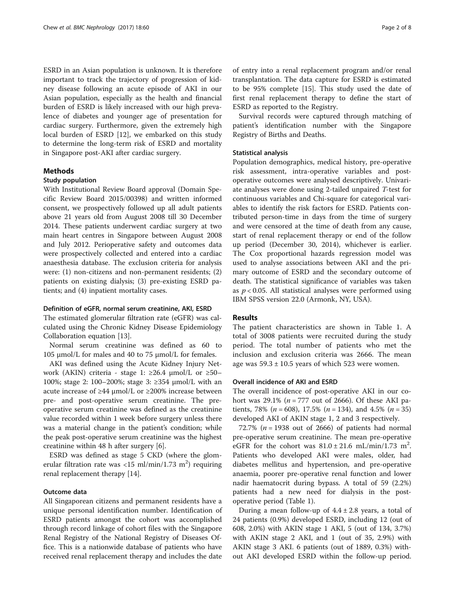ESRD in an Asian population is unknown. It is therefore important to track the trajectory of progression of kidney disease following an acute episode of AKI in our Asian population, especially as the health and financial burden of ESRD is likely increased with our high prevalence of diabetes and younger age of presentation for cardiac surgery. Furthermore, given the extremely high local burden of ESRD [\[12\]](#page-6-0), we embarked on this study to determine the long-term risk of ESRD and mortality in Singapore post-AKI after cardiac surgery.

# Methods

## Study population

With Institutional Review Board approval (Domain Specific Review Board 2015/00398) and written informed consent, we prospectively followed up all adult patients above 21 years old from August 2008 till 30 December 2014. These patients underwent cardiac surgery at two main heart centres in Singapore between August 2008 and July 2012. Perioperative safety and outcomes data were prospectively collected and entered into a cardiac anaesthesia database. The exclusion criteria for analysis were: (1) non-citizens and non-permanent residents; (2) patients on existing dialysis; (3) pre-existing ESRD patients; and (4) inpatient mortality cases.

# Definition of eGFR, normal serum creatinine, AKI, ESRD

The estimated glomerular filtration rate (eGFR) was calculated using the Chronic Kidney Disease Epidemiology Collaboration equation [\[13\]](#page-7-0).

Normal serum creatinine was defined as 60 to 105 μmol/L for males and 40 to 75 μmol/L for females.

AKI was defined using the Acute Kidney Injury Network (AKIN) criteria - stage 1:  $\geq 26.4$  µmol/L or  $\geq 50$ -100%; stage 2: 100–200%; stage 3: ≥354 μmol/L with an acute increase of ≥44 μmol/L or ≥200% increase between pre- and post-operative serum creatinine. The preoperative serum creatinine was defined as the creatinine value recorded within 1 week before surgery unless there was a material change in the patient's condition; while the peak post-operative serum creatinine was the highest creatinine within 48 h after surgery [\[6](#page-6-0)].

ESRD was defined as stage 5 CKD (where the glomerular filtration rate was <15 ml/min/1.73 m<sup>2</sup>) requiring renal replacement therapy [[14\]](#page-7-0).

## Outcome data

All Singaporean citizens and permanent residents have a unique personal identification number. Identification of ESRD patients amongst the cohort was accomplished through record linkage of cohort files with the Singapore Renal Registry of the National Registry of Diseases Office. This is a nationwide database of patients who have received renal replacement therapy and includes the date of entry into a renal replacement program and/or renal transplantation. The data capture for ESRD is estimated to be 95% complete [[15](#page-7-0)]. This study used the date of first renal replacement therapy to define the start of ESRD as reported to the Registry.

Survival records were captured through matching of patient's identification number with the Singapore Registry of Births and Deaths.

# Statistical analysis

Population demographics, medical history, pre-operative risk assessment, intra-operative variables and postoperative outcomes were analysed descriptively. Univariate analyses were done using 2-tailed unpaired T-test for continuous variables and Chi-square for categorical variables to identify the risk factors for ESRD. Patients contributed person-time in days from the time of surgery and were censored at the time of death from any cause, start of renal replacement therapy or end of the follow up period (December 30, 2014), whichever is earlier. The Cox proportional hazards regression model was used to analyse associations between AKI and the primary outcome of ESRD and the secondary outcome of death. The statistical significance of variables was taken as  $p < 0.05$ . All statistical analyses were performed using IBM SPSS version 22.0 (Armonk, NY, USA).

## Results

The patient characteristics are shown in Table [1.](#page-2-0) A total of 3008 patients were recruited during the study period. The total number of patients who met the inclusion and exclusion criteria was 2666. The mean age was  $59.3 \pm 10.5$  years of which 523 were women.

#### Overall incidence of AKI and ESRD

The overall incidence of post-operative AKI in our cohort was 29.1% ( $n = 777$  out of 2666). Of these AKI patients, 78% ( $n = 608$ ), 17.5% ( $n = 134$ ), and 4.5% ( $n = 35$ ) developed AKI of AKIN stage 1, 2 and 3 respectively.

72.7% ( $n = 1938$  out of 2666) of patients had normal pre-operative serum creatinine. The mean pre-operative eGFR for the cohort was  $81.0 \pm 21.6 \text{ mL/min}/1.73 \text{ m}^2$ . Patients who developed AKI were males, older, had diabetes mellitus and hypertension, and pre-operative anaemia, poorer pre-operative renal function and lower nadir haematocrit during bypass. A total of 59 (2.2%) patients had a new need for dialysis in the postoperative period (Table [1](#page-2-0)).

During a mean follow-up of  $4.4 \pm 2.8$  years, a total of 24 patients (0.9%) developed ESRD, including 12 (out of 608, 2.0%) with AKIN stage 1 AKI, 5 (out of 134, 3.7%) with AKIN stage 2 AKI, and 1 (out of 35, 2.9%) with AKIN stage 3 AKI. 6 patients (out of 1889, 0.3%) without AKI developed ESRD within the follow-up period.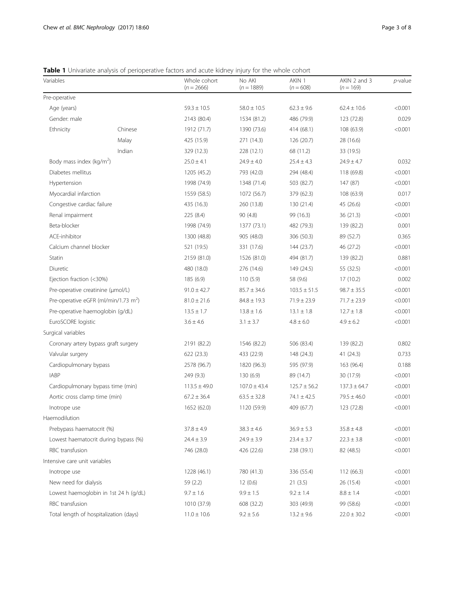<span id="page-2-0"></span>Table 1 Univariate analysis of perioperative factors and acute kidney injury for the whole cohort

| Variables                                        |                                      | Whole cohort<br>$(n = 2666)$ | No AKI<br>$(n = 1889)$ | AKIN 1<br>$(n = 608)$ | AKIN 2 and 3<br>$(n = 169)$ | $p$ -value |
|--------------------------------------------------|--------------------------------------|------------------------------|------------------------|-----------------------|-----------------------------|------------|
| Pre-operative                                    |                                      |                              |                        |                       |                             |            |
| Age (years)                                      |                                      | $59.3 \pm 10.5$              | $58.0 \pm 10.5$        | $62.3 \pm 9.6$        | $62.4 \pm 10.6$             | < 0.001    |
| Gender: male                                     |                                      | 2143 (80.4)                  | 1534 (81.2)            | 486 (79.9)            | 123 (72.8)                  | 0.029      |
| Ethnicity                                        | Chinese                              | 1912 (71.7)                  | 1390 (73.6)            | 414 (68.1)            | 108 (63.9)                  | < 0.001    |
|                                                  | Malay                                | 425 (15.9)                   | 271 (14.3)             | 126 (20.7)            | 28 (16.6)                   |            |
|                                                  | Indian                               | 329 (12.3)                   | 228 (12.1)             | 68 (11.2)             | 33 (19.5)                   |            |
| Body mass index ( $\text{kg/m}^2$ )              |                                      | $25.0 \pm 4.1$               | $24.9 \pm 4.0$         | $25.4 \pm 4.3$        | $24.9 \pm 4.7$              | 0.032      |
| Diabetes mellitus                                |                                      | 1205 (45.2)                  | 793 (42.0)             | 294 (48.4)            | 118 (69.8)                  | < 0.001    |
| Hypertension                                     |                                      | 1998 (74.9)                  | 1348 (71.4)            | 503 (82.7)            | 147(87)                     | < 0.001    |
| Myocardial infarction                            |                                      | 1559 (58.5)                  | 1072 (56.7)            | 379 (62.3)            | 108 (63.9)                  | 0.017      |
| Congestive cardiac failure                       |                                      | 435 (16.3)                   | 260 (13.8)             | 130 (21.4)            | 45 (26.6)                   | < 0.001    |
| Renal impairment                                 |                                      | 225 (8.4)                    | 90(4.8)                | 99 (16.3)             | 36 (21.3)                   | < 0.001    |
| Beta-blocker                                     |                                      | 1998 (74.9)                  | 1377 (73.1)            | 482 (79.3)            | 139 (82.2)                  | 0.001      |
| ACE-inhibitor                                    |                                      | 1300 (48.8)                  | 905 (48.0)             | 306 (50.3)            | 89 (52.7)                   | 0.365      |
| Calcium channel blocker                          |                                      | 521 (19.5)                   | 331 (17.6)             | 144 (23.7)            | 46 (27.2)                   | < 0.001    |
| Statin                                           |                                      | 2159 (81.0)                  | 1526 (81.0)            | 494 (81.7)            | 139 (82.2)                  | 0.881      |
| Diuretic                                         |                                      | 480 (18.0)                   | 276 (14.6)             | 149 (24.5)            | 55 (32.5)                   | < 0.001    |
| Ejection fraction (<30%)                         |                                      | 185 (6.9)                    | 110(5.9)               | 58 (9.6)              | 17(10.2)                    | 0.002      |
| Pre-operative creatinine (µmol/L)                |                                      | $91.0 \pm 42.7$              | $85.7 \pm 34.6$        | $103.5 \pm 51.5$      | $98.7 \pm 35.5$             | < 0.001    |
| Pre-operative eGFR (ml/min/1.73 m <sup>2</sup> ) |                                      | $81.0 \pm 21.6$              | $84.8 \pm 19.3$        | $71.9 \pm 23.9$       | $71.7 \pm 23.9$             | < 0.001    |
| Pre-operative haemoglobin (g/dL)                 |                                      | $13.5 \pm 1.7$               | $13.8 \pm 1.6$         | $13.1 \pm 1.8$        | $12.7 \pm 1.8$              | < 0.001    |
| EuroSCORE logistic                               |                                      | $3.6 \pm 4.6$                | $3.1 \pm 3.7$          | $4.8 \pm 6.0$         | $4.9 \pm 6.2$               | < 0.001    |
| Surgical variables                               |                                      |                              |                        |                       |                             |            |
| Coronary artery bypass graft surgery             |                                      | 2191 (82.2)                  | 1546 (82.2)            | 506 (83.4)            | 139 (82.2)                  | 0.802      |
| Valvular surgery                                 |                                      | 622(23.3)                    | 433 (22.9)             | 148 (24.3)            | 41(24.3)                    | 0.733      |
| Cardiopulmonary bypass                           |                                      | 2578 (96.7)                  | 1820 (96.3)            | 595 (97.9)            | 163 (96.4)                  | 0.188      |
| <b>IABP</b>                                      |                                      | 249 (9.3)                    | 130(6.9)               | 89 (14.7)             | 30 (17.9)                   | < 0.001    |
| Cardiopulmonary bypass time (min)                |                                      | $113.5 \pm 49.0$             | $107.0 \pm 43.4$       | $125.7 \pm 56.2$      | $137.3 \pm 64.7$            | < 0.001    |
| Aortic cross clamp time (min)                    |                                      | $67.2 \pm 36.4$              | $63.5 \pm 32.8$        | $74.1 \pm 42.5$       | $79.5 \pm 46.0$             | < 0.001    |
| Inotrope use                                     |                                      | 1652 (62.0)                  | 1120 (59.9)            | 409 (67.7)            | 123 (72.8)                  | < 0.001    |
| Haemodilution                                    |                                      |                              |                        |                       |                             |            |
| Prebypass haematocrit (%)                        |                                      | $37.8 \pm 4.9$               | $38.3 \pm 4.6$         | $36.9 \pm 5.3$        | $35.8 \pm 4.8$              | < 0.001    |
|                                                  | Lowest haematocrit during bypass (%) | $24.4 \pm 3.9$               | $24.9 \pm 3.9$         | $23.4 \pm 3.7$        | $22.3 \pm 3.8$              | < 0.001    |
| RBC transfusion                                  |                                      | 746 (28.0)                   | 426 (22.6)             | 238 (39.1)            | 82 (48.5)                   | < 0.001    |
| Intensive care unit variables                    |                                      |                              |                        |                       |                             |            |
| Inotrope use                                     |                                      | 1228 (46.1)                  | 780 (41.3)             | 336 (55.4)            | 112 (66.3)                  | < 0.001    |
| New need for dialysis                            |                                      | 59 (2.2)                     | 12(0.6)                | 21(3.5)               | 26 (15.4)                   | < 0.001    |
| Lowest haemoglobin in 1st 24 h (g/dL)            |                                      | $9.7 \pm 1.6$                | $9.9 \pm 1.5$          | $9.2 \pm 1.4$         | $8.8 \pm 1.4$               | < 0.001    |
| RBC transfusion                                  |                                      | 1010 (37.9)                  | 608 (32.2)             | 303 (49.9)            | 99 (58.6)                   | < 0.001    |
| Total length of hospitalization (days)           |                                      | $11.0 \pm 10.6$              | $9.2 \pm 5.6$          | $13.2 \pm 9.6$        | $22.0 \pm 30.2$             | < 0.001    |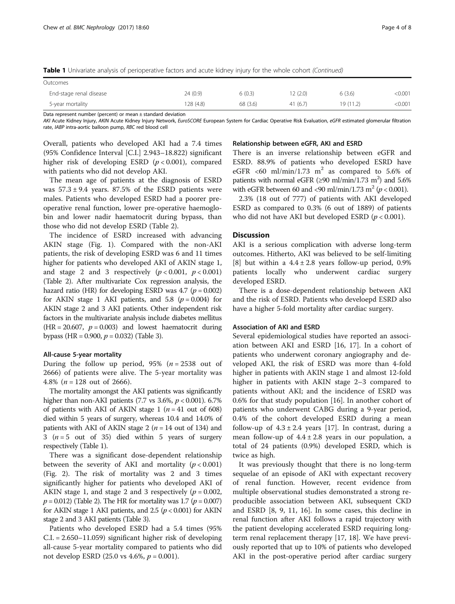Table 1 Univariate analysis of perioperative factors and acute kidney injury for the whole cohort (Continued)

| Outcomes                |           |          |         |          |         |
|-------------------------|-----------|----------|---------|----------|---------|
| End-stage renal disease | 24 (0.9)  | 6(0.3)   | 2(2.0)  | 6(3.6)   | < 0.001 |
| 5-year mortality        | 128 (4.8) | 68 (3.6) | 41(6.7) | 19(11.2) | < 0.001 |

Data represent number (percent) or mean ± standard deviation

AKI Acute Kidney Injury, AKIN Acute Kidney Injury Network, EuroSCORE European System for Cardiac Operative Risk Evaluation, eGFR estimated glomerular filtration rate, IABP intra-aortic balloon pump, RBC red blood cell

Overall, patients who developed AKI had a 7.4 times (95% Confidence Interval [C.I.] 2.943–18.822) significant higher risk of developing ESRD  $(p < 0.001)$ , compared with patients who did not develop AKI.

The mean age of patients at the diagnosis of ESRD was  $57.3 \pm 9.4$  years. 87.5% of the ESRD patients were males. Patients who developed ESRD had a poorer preoperative renal function, lower pre-operative haemoglobin and lower nadir haematocrit during bypass, than those who did not develop ESRD (Table [2\)](#page-4-0).

The incidence of ESRD increased with advancing AKIN stage (Fig. [1\)](#page-4-0). Compared with the non-AKI patients, the risk of developing ESRD was 6 and 11 times higher for patients who developed AKI of AKIN stage 1, and stage 2 and 3 respectively  $(p < 0.001, p < 0.001)$ (Table [2](#page-4-0)). After multivariate Cox regression analysis, the hazard ratio (HR) for developing ESRD was 4.7 ( $p = 0.002$ ) for AKIN stage 1 AKI patients, and 5.8 ( $p = 0.004$ ) for AKIN stage 2 and 3 AKI patients. Other independent risk factors in the multivariate analysis include diabetes mellitus  $(HR = 20.607, p = 0.003)$  and lowest haematocrit during bypass (HR = 0.900,  $p = 0.032$ ) (Table [3](#page-5-0)).

## All-cause 5-year mortality

During the follow up period, 95% ( $n = 2538$  out of 2666) of patients were alive. The 5-year mortality was 4.8% ( $n = 128$  out of 2666).

The mortality amongst the AKI patients was significantly higher than non-AKI patients (7.7 vs 3.6%,  $p < 0.001$ ). 6.7% of patients with AKI of AKIN stage 1 ( $n = 41$  out of 608) died within 5 years of surgery, whereas 10.4 and 14.0% of patients with AKI of AKIN stage 2 ( $n = 14$  out of 134) and 3 ( $n = 5$  out of 35) died within 5 years of surgery respectively (Table [1](#page-2-0)).

There was a significant dose-dependent relationship between the severity of AKI and mortality  $(p < 0.001)$ (Fig. [2](#page-5-0)). The risk of mortality was 2 and 3 times significantly higher for patients who developed AKI of AKIN stage 1, and stage 2 and 3 respectively ( $p = 0.002$ ,  $p = 0.012$ ) (Table [2\)](#page-4-0). The HR for mortality was 1.7 ( $p = 0.007$ ) for AKIN stage 1 AKI patients, and 2.5 ( $p < 0.001$ ) for AKIN stage 2 and 3 AKI patients (Table [3\)](#page-5-0).

Patients who developed ESRD had a 5.4 times (95% C.I. = 2.650–11.059) significant higher risk of developing all-cause 5-year mortality compared to patients who did not develop ESRD (25.0 vs 4.6%,  $p = 0.001$ ).

#### Relationship between eGFR, AKI and ESRD

There is an inverse relationship between eGFR and ESRD. 88.9% of patients who developed ESRD have eGFR <60 ml/min/1.73 m<sup>2</sup> as compared to 5.6% of patients with normal eGFR ( $\geq$ 90 ml/min/1.73 m<sup>2</sup>) and 5.6% with eGFR between 60 and <90 ml/min/1.73 m<sup>2</sup> ( $p < 0.001$ ).

2.3% (18 out of 777) of patients with AKI developed ESRD as compared to 0.3% (6 out of 1889) of patients who did not have AKI but developed ESRD ( $p < 0.001$ ).

## **Discussion**

AKI is a serious complication with adverse long-term outcomes. Hitherto, AKI was believed to be self-limiting [[8\]](#page-6-0) but within a  $4.4 \pm 2.8$  years follow-up period, 0.9% patients locally who underwent cardiac surgery developed ESRD.

There is a dose-dependent relationship between AKI and the risk of ESRD. Patients who develoepd ESRD also have a higher 5-fold mortality after cardiac surgery.

## Association of AKI and ESRD

Several epidemiological studies have reported an association between AKI and ESRD [[16, 17](#page-7-0)]. In a cohort of patients who underwent coronary angiography and developed AKI, the risk of ESRD was more than 4-fold higher in patients with AKIN stage 1 and almost 12-fold higher in patients with AKIN stage 2–3 compared to patients without AKI; and the incidence of ESRD was 0.6% for that study population [\[16\]](#page-7-0). In another cohort of patients who underwent CABG during a 9-year period, 0.4% of the cohort developed ESRD during a mean follow-up of  $4.3 \pm 2.4$  years [[17](#page-7-0)]. In contrast, during a mean follow-up of  $4.4 \pm 2.8$  years in our population, a total of 24 patients (0.9%) developed ESRD, which is twice as high.

It was previously thought that there is no long-term sequelae of an episode of AKI with expectant recovery of renal function. However, recent evidence from multiple observational studies demonstrated a strong reproducible association between AKI, subsequent CKD and ESRD [[8, 9](#page-6-0), [11](#page-6-0), [16](#page-7-0)]. In some cases, this decline in renal function after AKI follows a rapid trajectory with the patient developing accelerated ESRD requiring longterm renal replacement therapy [[17](#page-7-0), [18\]](#page-7-0). We have previously reported that up to 10% of patients who developed AKI in the post-operative period after cardiac surgery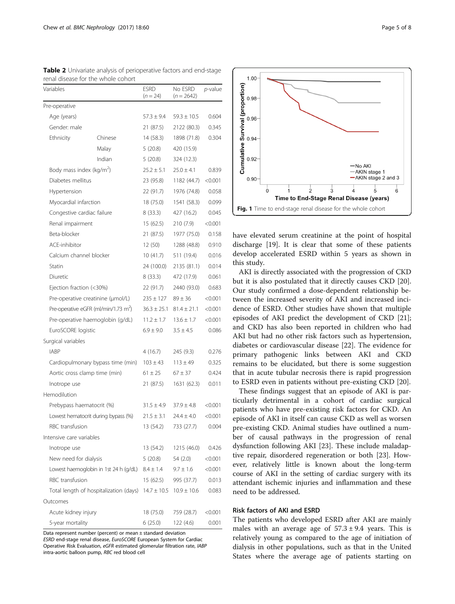| Variables                                        |                                        | <b>ESRD</b><br>$(n = 24)$ | No ESRD<br>$(n = 2642)$ | <i>p</i> -value |
|--------------------------------------------------|----------------------------------------|---------------------------|-------------------------|-----------------|
| Pre-operative                                    |                                        |                           |                         |                 |
| Age (years)                                      |                                        | $57.3 \pm 9.4$            | $59.3 \pm 10.5$         | 0.604           |
| Gender: male                                     |                                        | 21 (87.5)                 | 2122 (80.3)             | 0.345           |
| Ethnicity                                        | Chinese                                | 14 (58.3)                 | 1898 (71.8)             | 0.304           |
|                                                  | Malay                                  | 5(20.8)                   | 420 (15.9)              |                 |
|                                                  | Indian                                 | 5(20.8)                   | 324 (12.3)              |                 |
| Body mass index (kg/m <sup>2</sup> )             |                                        | $25.2 \pm 5.1$            | $25.0 \pm 4.1$          | 0.839           |
| Diabetes mellitus                                |                                        | 23 (95.8)                 | 1182 (44.7)             | < 0.001         |
| Hypertension                                     |                                        | 22 (91.7)                 | 1976 (74.8)             | 0.058           |
| Myocardial infarction                            |                                        | 18 (75.0)                 | 1541 (58.3)             | 0.099           |
| Congestive cardiac failure                       |                                        | 8(33.3)                   | 427 (16.2)              | 0.045           |
| Renal impairment                                 |                                        | 15 (62.5)                 | 210 (7.9)               | < 0.001         |
| Beta-blocker                                     |                                        | 21 (87.5)                 | 1977 (75.0)             | 0.158           |
| ACE-inhibitor                                    |                                        | 12 (50)                   | 1288 (48.8)             | 0.910           |
| Calcium channel blocker                          |                                        | 10(41.7)                  | 511 (19.4)              | 0.016           |
| Statin                                           |                                        | 24 (100.0)                | 2135 (81.1)             | 0.014           |
| Diuretic                                         |                                        | 8(33.3)                   | 472 (17.9)              | 0.061           |
| Ejection fraction (<30%)                         |                                        | 22 (91.7)                 | 2440 (93.0)             | 0.683           |
| Pre-operative creatinine (µmol/L)                |                                        | $235 \pm 127$             | $89 \pm 36$             | < 0.001         |
| Pre-operative eGFR (ml/min/1.73 m <sup>2</sup> ) |                                        | $36.3 \pm 25.1$           | $81.4 \pm 21.1$         | < 0.001         |
| Pre-operative haemoglobin (g/dL)                 |                                        | $11.2 \pm 1.7$            | $13.6 \pm 1.7$          | < 0.001         |
| EuroSCORE logistic                               |                                        | $6.9 \pm 9.0$             | $3.5 \pm 4.5$           | 0.086           |
| Surgical variables                               |                                        |                           |                         |                 |
| <b>IABP</b>                                      |                                        | 4(16.7)                   | 245 (9.3)               | 0.276           |
|                                                  | Cardiopulmonary bypass time (min)      | $103 \pm 43$              | $113 \pm 49$            | 0.325           |
| Aortic cross clamp time (min)                    |                                        | $61 \pm 25$               | $67 \pm 37$             | 0.424           |
| Inotrope use                                     |                                        | 21 (87.5)                 | 1631 (62.3)             | 0.011           |
| Hemodilution                                     |                                        |                           |                         |                 |
| Prebypass haematocrit (%)                        |                                        | $31.5 \pm 4.9$            | $37.9 \pm 4.8$          | < 0.001         |
|                                                  | Lowest hematocrit during bypass (%)    | $21.5 \pm 3.1$            | $24.4 \pm 4.0$          | < 0.001         |
| RBC transfusion                                  |                                        | 13 (54.2)                 | 733 (27.7)              | 0.004           |
| Intensive care variables                         |                                        |                           |                         |                 |
| Inotrope use                                     |                                        | 13 (54.2)                 | 1215 (46.0)             | 0.426           |
| New need for dialysis                            |                                        | 5(20.8)                   | 54 (2.0)                | < 0.001         |
|                                                  | Lowest haemoglobin in 1st 24 h (g/dL)  | $8.4 \pm 1.4$             | $9.7 \pm 1.6$           | < 0.001         |
| RBC transfusion                                  |                                        | 15 (62.5)                 | 995 (37.7)              | 0.013           |
|                                                  | Total length of hospitalization (days) | $14.7 \pm 10.5$           | $10.9 \pm 10.6$         | 0.083           |
| Outcomes                                         |                                        |                           |                         |                 |
| Acute kidney injury                              |                                        | 18 (75.0)                 | 759 (28.7)              | < 0.001         |
| 5-year mortality                                 |                                        | 6(25.0)                   | 122 (4.6)               | 0.001           |

<span id="page-4-0"></span>Table 2 Univariate analysis of perioperative factors and end-stage renal disease for the whole cohort

Data represent number (percent) or mean ± standard deviation ESRD end-stage renal disease, EuroSCORE European System for Cardiac Operative Risk Evaluation, eGFR estimated glomerular filtration rate, IABP intra-aortic balloon pump, RBC red blood cell



have elevated serum creatinine at the point of hospital discharge [\[19](#page-7-0)]. It is clear that some of these patients develop accelerated ESRD within 5 years as shown in this study.

AKI is directly associated with the progression of CKD but it is also postulated that it directly causes CKD [\[20](#page-7-0)]. Our study confirmed a dose-dependent relationship between the increased severity of AKI and increased incidence of ESRD. Other studies have shown that multiple episodes of AKI predict the development of CKD [\[21](#page-7-0)]; and CKD has also been reported in children who had AKI but had no other risk factors such as hypertension, diabetes or cardiovascular disease [\[22](#page-7-0)]. The evidence for primary pathogenic links between AKI and CKD remains to be elucidated, but there is some suggestion that in acute tubular necrosis there is rapid progression to ESRD even in patients without pre-existing CKD [[20](#page-7-0)].

These findings suggest that an episode of AKI is particularly detrimental in a cohort of cardiac surgical patients who have pre-existing risk factors for CKD. An episode of AKI in itself can cause CKD as well as worsen pre-existing CKD. Animal studies have outlined a number of causal pathways in the progression of renal dysfunction following AKI [[23\]](#page-7-0). These include maladaptive repair, disordered regeneration or both [[23\]](#page-7-0). However, relatively little is known about the long-term course of AKI in the setting of cardiac surgery with its attendant ischemic injuries and inflammation and these need to be addressed.

#### Risk factors of AKI and ESRD

The patients who developed ESRD after AKI are mainly males with an average age of  $57.3 \pm 9.4$  years. This is relatively young as compared to the age of initiation of dialysis in other populations, such as that in the United States where the average age of patients starting on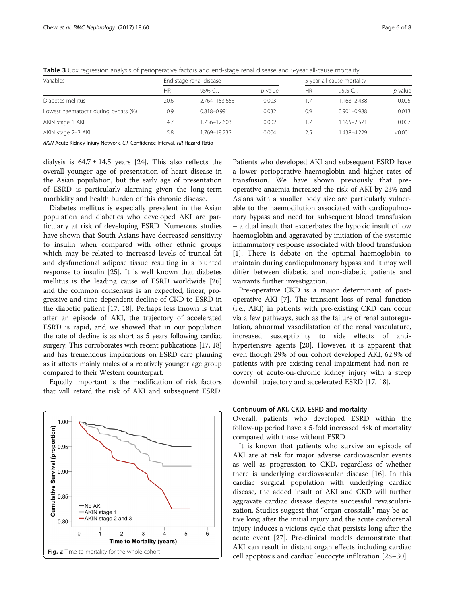| Variables                            | End-stage renal disease |               |            |     | 5-year all cause mortality |                 |  |
|--------------------------------------|-------------------------|---------------|------------|-----|----------------------------|-----------------|--|
|                                      | HR                      | 95% C.L       | $p$ -value | ΗR  | 95% C.I.                   | <i>p</i> -value |  |
| Diabetes mellitus                    | 20.6                    | 2.764-153.653 | 0.003      | 1.7 | 1.168-2.438                | 0.005           |  |
| Lowest haematocrit during bypass (%) | 0.9                     | 0.818-0.991   | 0.032      | 0.9 | $0.901 - 0.988$            | 0.013           |  |
| AKIN stage 1 AKI                     | 4.7                     | 1.736-12.603  | 0.002      | 1.7 | 1.165-2.571                | 0.007           |  |
| AKIN stage 2-3 AKI                   | 5.8                     | 769-18.732    | 0.004      | 2.5 | 1.438-4.229                | < 0.001         |  |

<span id="page-5-0"></span>Table 3 Cox regression analysis of perioperative factors and end-stage renal disease and 5-year all-cause mortality

AKIN Acute Kidney Injury Network, C.I. Confidence Interval, HR Hazard Ratio

dialysis is  $64.7 \pm 14.5$  years [\[24](#page-7-0)]. This also reflects the overall younger age of presentation of heart disease in the Asian population, but the early age of presentation of ESRD is particularly alarming given the long-term morbidity and health burden of this chronic disease.

Diabetes mellitus is especially prevalent in the Asian population and diabetics who developed AKI are particularly at risk of developing ESRD. Numerous studies have shown that South Asians have decreased sensitivity to insulin when compared with other ethnic groups which may be related to increased levels of truncal fat and dysfunctional adipose tissue resulting in a blunted response to insulin [\[25\]](#page-7-0). It is well known that diabetes mellitus is the leading cause of ESRD worldwide [[26](#page-7-0)] and the common consensus is an expected, linear, progressive and time-dependent decline of CKD to ESRD in the diabetic patient [\[17, 18\]](#page-7-0). Perhaps less known is that after an episode of AKI, the trajectory of accelerated ESRD is rapid, and we showed that in our population the rate of decline is as short as 5 years following cardiac surgery. This corroborates with recent publications [[17](#page-7-0), [18](#page-7-0)] and has tremendous implications on ESRD care planning as it affects mainly males of a relatively younger age group compared to their Western counterpart.

Equally important is the modification of risk factors that will retard the risk of AKI and subsequent ESRD.



Patients who developed AKI and subsequent ESRD have a lower perioperative haemoglobin and higher rates of transfusion. We have shown previously that preoperative anaemia increased the risk of AKI by 23% and Asians with a smaller body size are particularly vulnerable to the haemodilution associated with cardiopulmonary bypass and need for subsequent blood transfusion – a dual insult that exacerbates the hypoxic insult of low haemoglobin and aggravated by initiation of the systemic inflammatory response associated with blood transfusion [[1\]](#page-6-0). There is debate on the optimal haemoglobin to maintain during cardiopulmonary bypass and it may well differ between diabetic and non-diabetic patients and warrants further investigation.

Pre-operative CKD is a major determinant of postoperative AKI [\[7](#page-6-0)]. The transient loss of renal function (i.e., AKI) in patients with pre-existing CKD can occur via a few pathways, such as the failure of renal autoregulation, abnormal vasodilatation of the renal vasculature, increased susceptibility to side effects of antihypertensive agents [\[20](#page-7-0)]. However, it is apparent that even though 29% of our cohort developed AKI, 62.9% of patients with pre-existing renal impairment had non-recovery of acute-on-chronic kidney injury with a steep downhill trajectory and accelerated ESRD [\[17](#page-7-0), [18](#page-7-0)].

# Continuum of AKI, CKD, ESRD and mortality

Overall, patients who developed ESRD within the follow-up period have a 5-fold increased risk of mortality compared with those without ESRD.

It is known that patients who survive an episode of AKI are at risk for major adverse cardiovascular events as well as progression to CKD, regardless of whether there is underlying cardiovascular disease [\[16](#page-7-0)]. In this cardiac surgical population with underlying cardiac disease, the added insult of AKI and CKD will further aggravate cardiac disease despite successful revascularization. Studies suggest that "organ crosstalk" may be active long after the initial injury and the acute cardiorenal injury induces a vicious cycle that persists long after the acute event [\[27](#page-7-0)]. Pre-clinical models demonstrate that AKI can result in distant organ effects including cardiac cell apoptosis and cardiac leucocyte infiltration [\[28](#page-7-0)–[30](#page-7-0)].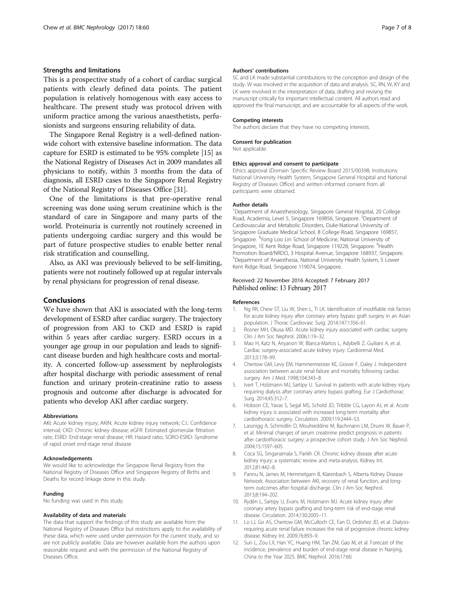# <span id="page-6-0"></span>Strengths and limitations

This is a prospective study of a cohort of cardiac surgical patients with clearly defined data points. The patient population is relatively homogenous with easy access to healthcare. The present study was protocol driven with uniform practice among the various anaesthetists, perfusionists and surgeons ensuring reliability of data.

The Singapore Renal Registry is a well-defined nationwide cohort with extensive baseline information. The data capture for ESRD is estimated to be 95% complete [[15](#page-7-0)] as the National Registry of Diseases Act in 2009 mandates all physicians to notify, within 3 months from the data of diagnosis, all ESRD cases to the Singapore Renal Registry of the National Registry of Diseases Office [[31](#page-7-0)].

One of the limitations is that pre-operative renal screening was done using serum creatinine which is the standard of care in Singapore and many parts of the world. Proteinuria is currently not routinely screened in patients undergoing cardiac surgery and this would be part of future prospective studies to enable better renal risk stratification and counselling.

Also, as AKI was previously believed to be self-limiting, patients were not routinely followed up at regular intervals by renal physicians for progression of renal disease.

# Conclusions

We have shown that AKI is associated with the long-term development of ESRD after cardiac surgery. The trajectory of progression from AKI to CKD and ESRD is rapid within 5 years after cardiac surgery. ESRD occurs in a younger age group in our population and leads to significant disease burden and high healthcare costs and mortality. A concerted follow-up assessment by nephrologists after hospital discharge with periodic assessment of renal function and urinary protein-creatinine ratio to assess prognosis and outcome after discharge is advocated for patients who develop AKI after cardiac surgery.

#### Abbreviations

AKI: Acute kidney injury; AKIN: Acute kidney injury network; C.I.: Confidence interval; CKD: Chronic kidney disease; eGFR: Estimated glomerular filtration rate; ESRD: End-stage renal disease; HR: Hazard ratio; SORO-ESRD: Syndrome of rapid onset end-stage renal disease

#### Acknowledgements

We would like to acknowledge the Singapore Renal Registry from the National Registry of Diseases Office and Singapore Registry of Births and Deaths for record linkage done in this study.

#### Funding

No funding was used in this study.

## Availability of data and materials

The data that support the findings of this study are available from the National Registry of Diseases Office but restrictions apply to the availability of these data, which were used under permission for the current study, and so are not publicly available. Data are however available from the authors upon reasonable request and with the permission of the National Registry of Diseases Office.

#### Authors' contributions

SC and LK made substantial contributions to the conception and design of the study. W was involved in the acquisition of data and analysis. SC, RN, W, KY and LK were involved in the interpretation of data, drafting and revising the manuscript critically for important intellectual content. All authors read and approved the final manuscript, and are accountable for all aspects of the work.

#### Competing interests

The authors declare that they have no competing interests.

#### Consent for publication

Not applicable.

#### Ethics approval and consent to participate

Ethics approval (Domain Specific Review Board 2015/00398; Institutions: National University Health System, Singapore General Hospital and National Registry of Diseases Office) and written informed consent from all participants were obtained.

#### Author details

<sup>1</sup>Department of Anaesthesiology, Singapore General Hospital, 20 College Road, Academia, Level 5, Singapore 169856, Singapore. <sup>2</sup>Department of Cardiovascular and Metabolic Disorders, Duke-National University of Singapore Graduate Medical School, 8 College Road, Singapore 169857, Singapore. <sup>3</sup>Yong Loo Lin School of Medicine, National University of Singapore, 1E Kent Ridge Road, Singapore 119228, Singapore. <sup>4</sup>Health Promotion Board/NRDO, 3 Hospital Avenue, Singapore 168937, Singapore. 5 Department of Anaesthesia, National University Health System, 5 Lower Kent Ridge Road, Singapore 119074, Singapore.

# Received: 22 November 2016 Accepted: 7 February 2017 Published online: 13 February 2017

#### References

- 1. Ng RR, Chew ST, Liu W, Shen L, Ti LK. Identification of modifiable risk factors for acute kidney injury after coronary artery bypass graft surgery in an Asian population. J Thorac Cardiovasc Surg. 2014;147:1356–61.
- 2. Rosner MH, Okusa MD. Acute kidney injury associated with cardiac surgery. Clin J Am Soc Nephrol. 2006;1:19–32.
- 3. Mao H, Katz N, Ariyanon W, Blanca-Martos L, Adybelli Z, Guiliani A, et al. Cardiac surgery-associated acute kidney injury. Cardiorenal Med. 2013;3:178–99.
- 4. Chertow GM, Levy EM, Hammermeister KE, Grover F, Daley J. Independent association between acute renal failure and mortality following cardiac surgery. Am J Med. 1998;104:343–8.
- 5. Ivert T, Holzmann MJ, Sartipy U. Survival in patients with acute kidney injury requiring dialysis after coronary artery bypass grafting. Eur J Cardiothorac Surg. 2014;45:312–7.
- 6. Hobson CE, Yavas S, Segal MS, Schold JD, Tribble CG, Layon AJ, et al. Acute kidney injury is associated with increased long-term mortality after cardiothoracic surgery. Circulation. 2009;119:2444–53.
- 7. Lassnigg A, Schmidlin D, Mouhieddine M, Bachmann LM, Drumi W, Bauer P, et al. Minimal changes of serum creatinine predict prognosis in patients after cardiothoracic surgery: a prospective cohort study. J Am Soc Nephrol. 2004;15:1597–605.
- 8. Coca SG, Singanamala S, Parikh CR. Chronic kidney disease after acute kidney injury: a systematic review and meta-analysis. Kidney Int. 2012;81:442–8.
- 9. Pannu N, James M, Hemmelgarn B, Klarenbach S, Alberta Kidney Disease Network. Association between AKI, recovery of renal function, and longterm outcomes after hospital discharge. Clin J Am Soc Nephrol. 2013;8:194–202.
- 10. Rydén L, Sartipy U, Evans M, Holzmann MJ. Acute kidney injury after coronary artery bypass grafting and long-term risk of end-stage renal disease. Circulation. 2014;130:2005–11.
- 11. Lo LJ, Go AS, Chertow GM, McCulloch CE, Fan D, Ordoñez JD, et al. Dialysisrequiring acute renal failure increases the risk of progressive chronic kidney disease. Kidney Int. 2009;76:893–9.
- 12. Sun L, Zou LX, Han YC, Huang HM, Tan ZM, Gao M, et al. Forecast of the incidence, prevalence and burden of end-stage renal disease in Nanjing, China to the Year 2025. BMC Nephrol. 2016;17:60.